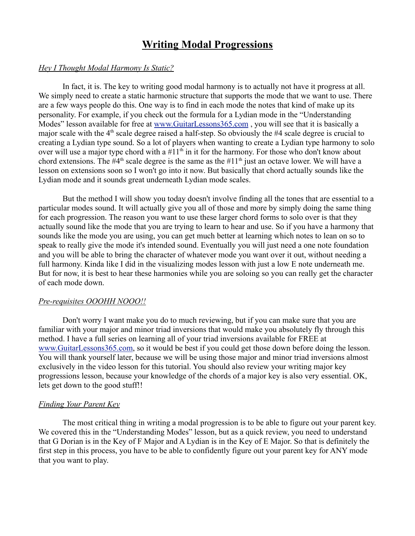# **Writing Modal Progressions**

#### *Hey I Thought Modal Harmony Is Static?*

In fact, it is. The key to writing good modal harmony is to actually not have it progress at all. We simply need to create a static harmonic structure that supports the mode that we want to use. There are a few ways people do this. One way is to find in each mode the notes that kind of make up its personality. For example, if you check out the formula for a Lydian mode in the "Understanding Modes" lesson available for free at www.GuitarLessons365.com , you will see that it is basically a major scale with the  $4<sup>th</sup>$  scale degree raised a half-step. So obviously the #4 scale degree is crucial to creating a Lydian type sound. So a lot of players when wanting to create a Lydian type harmony to solo over will use a major type chord with a  $#11<sup>th</sup>$  in it for the harmony. For those who don't know about chord extensions. The  $#4<sup>th</sup>$  scale degree is the same as the  $#11<sup>th</sup>$  just an octave lower. We will have a lesson on extensions soon so I won't go into it now. But basically that chord actually sounds like the Lydian mode and it sounds great underneath Lydian mode scales.

But the method I will show you today doesn't involve finding all the tones that are essential to a particular modes sound. It will actually give you all of those and more by simply doing the same thing for each progression. The reason you want to use these larger chord forms to solo over is that they actually sound like the mode that you are trying to learn to hear and use. So if you have a harmony that sounds like the mode you are using, you can get much better at learning which notes to lean on so to speak to really give the mode it's intended sound. Eventually you will just need a one note foundation and you will be able to bring the character of whatever mode you want over it out, without needing a full harmony. Kinda like I did in the visualizing modes lesson with just a low E note underneath me. But for now, it is best to hear these harmonies while you are soloing so you can really get the character of each mode down.

## *Pre-requisites OOOHH NOOO!!*

Don't worry I want make you do to much reviewing, but if you can make sure that you are familiar with your major and minor triad inversions that would make you absolutely fly through this method. I have a full series on learning all of your triad inversions available for FREE at www.GuitarLessons365.com, so it would be best if you could get those down before doing the lesson. You will thank yourself later, because we will be using those major and minor triad inversions almost exclusively in the video lesson for this tutorial. You should also review your writing major key progressions lesson, because your knowledge of the chords of a major key is also very essential. OK, lets get down to the good stuff!!

#### *Finding Your Parent Key*

The most critical thing in writing a modal progression is to be able to figure out your parent key. We covered this in the "Understanding Modes" lesson, but as a quick review, you need to understand that G Dorian is in the Key of F Major and A Lydian is in the Key of E Major. So that is definitely the first step in this process, you have to be able to confidently figure out your parent key for ANY mode that you want to play.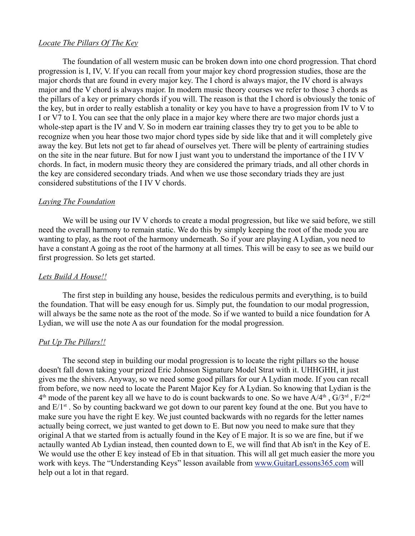### *Locate The Pillars Of The Key*

The foundation of all western music can be broken down into one chord progression. That chord progression is I, IV, V. If you can recall from your major key chord progression studies, those are the major chords that are found in every major key. The I chord is always major, the IV chord is always major and the V chord is always major. In modern music theory courses we refer to those 3 chords as the pillars of a key or primary chords if you will. The reason is that the I chord is obviously the tonic of the key, but in order to really establish a tonality or key you have to have a progression from IV to V to I or V7 to I. You can see that the only place in a major key where there are two major chords just a whole-step apart is the IV and V. So in modern ear training classes they try to get you to be able to recognize when you hear those two major chord types side by side like that and it will completely give away the key. But lets not get to far ahead of ourselves yet. There will be plenty of eartraining studies on the site in the near future. But for now I just want you to understand the importance of the I IV V chords. In fact, in modern music theory they are considered the primary triads, and all other chords in the key are considered secondary triads. And when we use those secondary triads they are just considered substitutions of the I IV V chords.

### *Laying The Foundation*

We will be using our IV V chords to create a modal progression, but like we said before, we still need the overall harmony to remain static. We do this by simply keeping the root of the mode you are wanting to play, as the root of the harmony underneath. So if your are playing A Lydian, you need to have a constant A going as the root of the harmony at all times. This will be easy to see as we build our first progression. So lets get started.

## *Lets Build A House!!*

The first step in building any house, besides the rediculous permits and everything, is to build the foundation. That will be easy enough for us. Simply put, the foundation to our modal progression, will always be the same note as the root of the mode. So if we wanted to build a nice foundation for A Lydian, we will use the note A as our foundation for the modal progression.

#### *Put Up The Pillars!!*

The second step in building our modal progression is to locate the right pillars so the house doesn't fall down taking your prized Eric Johnson Signature Model Strat with it. UHHGHH, it just gives me the shivers. Anyway, so we need some good pillars for our A Lydian mode. If you can recall from before, we now need to locate the Parent Major Key for A Lydian. So knowing that Lydian is the  $4<sup>th</sup>$  mode of the parent key all we have to do is count backwards to one. So we have  $A/4<sup>th</sup>$ ,  $G/3<sup>rd</sup>$ ,  $F/2<sup>nd</sup>$ and  $E/I^{st}$ . So by counting backward we got down to our parent key found at the one. But you have to make sure you have the right E key. We just counted backwards with no regards for the letter names actually being correct, we just wanted to get down to E. But now you need to make sure that they original A that we started from is actually found in the Key of E major. It is so we are fine, but if we actaully wanted Ab Lydian instead, then counted down to E, we will find that Ab isn't in the Key of E. We would use the other E key instead of Eb in that situation. This will all get much easier the more you work with keys. The "Understanding Keys" lesson available from www.GuitarLessons365.com will help out a lot in that regard.